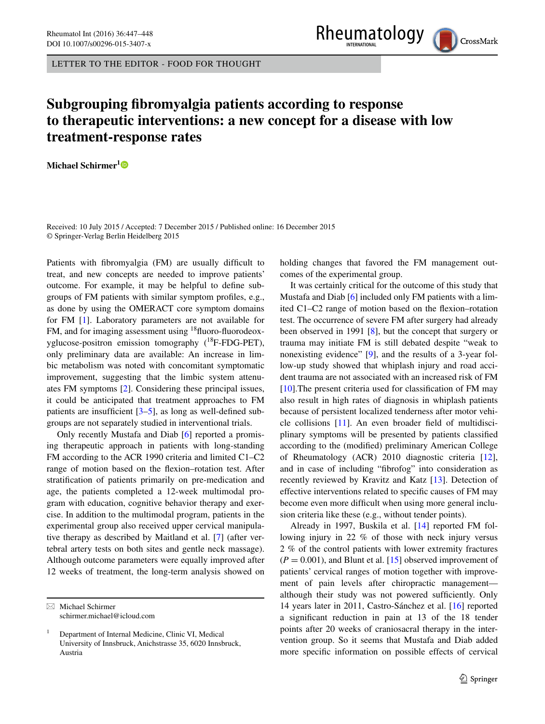LETTER TO THE EDITOR - FOOD FOR THOUGHT



## **Subgrouping fibromyalgia patients according to response to therapeutic interventions: a new concept for a disease with low treatment‑response rates**

**Michael Schirmer[1](http://orcid.org/0000-0001-9208-7809)**

Received: 10 July 2015 / Accepted: 7 December 2015 / Published online: 16 December 2015 © Springer-Verlag Berlin Heidelberg 2015

Patients with fibromyalgia (FM) are usually difficult to treat, and new concepts are needed to improve patients' outcome. For example, it may be helpful to define subgroups of FM patients with similar symptom profiles, e.g., as done by using the OMERACT core symptom domains for FM [[1\]](#page-1-10). Laboratory parameters are not available for FM, and for imaging assessment using <sup>18</sup>fluoro-fluorodeoxyglucose-positron emission tomography  $(^{18}F\text{-}FDG\text{-}PET)$ , only preliminary data are available: An increase in limbic metabolism was noted with concomitant symptomatic improvement, suggesting that the limbic system attenuates FM symptoms [[2\]](#page-1-11). Considering these principal issues, it could be anticipated that treatment approaches to FM patients are insufficient [[3–](#page-1-12)[5\]](#page-1-13), as long as well-defined subgroups are not separately studied in interventional trials.

Only recently Mustafa and Diab [[6\]](#page-1-0) reported a promising therapeutic approach in patients with long-standing FM according to the ACR 1990 criteria and limited C1–C2 range of motion based on the flexion–rotation test. After stratification of patients primarily on pre-medication and age, the patients completed a 12-week multimodal program with education, cognitive behavior therapy and exercise. In addition to the multimodal program, patients in the experimental group also received upper cervical manipulative therapy as described by Maitland et al. [\[7](#page-1-14)] (after vertebral artery tests on both sites and gentle neck massage). Although outcome parameters were equally improved after 12 weeks of treatment, the long-term analysis showed on

 $\boxtimes$  Michael Schirmer schirmer.michael@icloud.com holding changes that favored the FM management outcomes of the experimental group.

It was certainly critical for the outcome of this study that Mustafa and Diab [[6\]](#page-1-0) included only FM patients with a limited C1–C2 range of motion based on the flexion–rotation test. The occurrence of severe FM after surgery had already been observed in 1991 [\[8](#page-1-1)], but the concept that surgery or trauma may initiate FM is still debated despite "weak to nonexisting evidence" [[9\]](#page-1-2), and the results of a 3-year follow-up study showed that whiplash injury and road accident trauma are not associated with an increased risk of FM  $[10]$  $[10]$ . The present criteria used for classification of FM may also result in high rates of diagnosis in whiplash patients because of persistent localized tenderness after motor vehicle collisions [\[11](#page-1-4)]. An even broader field of multidisciplinary symptoms will be presented by patients classified according to the (modified) preliminary American College of Rheumatology (ACR) 2010 diagnostic criteria [\[12](#page-1-5)], and in case of including "fibrofog" into consideration as recently reviewed by Kravitz and Katz [[13\]](#page-1-6). Detection of effective interventions related to specific causes of FM may become even more difficult when using more general inclusion criteria like these (e.g., without tender points).

Already in 1997, Buskila et al. [\[14](#page-1-7)] reported FM following injury in 22 % of those with neck injury versus 2 % of the control patients with lower extremity fractures  $(P = 0.001)$ , and Blunt et al. [\[15](#page-1-8)] observed improvement of patients' cervical ranges of motion together with improvement of pain levels after chiropractic management although their study was not powered sufficiently. Only 14 years later in 2011, Castro-Sánchez et al. [\[16](#page-1-9)] reported a significant reduction in pain at 13 of the 18 tender points after 20 weeks of craniosacral therapy in the intervention group. So it seems that Mustafa and Diab added more specific information on possible effects of cervical

<sup>1</sup> Department of Internal Medicine, Clinic VI, Medical University of Innsbruck, Anichstrasse 35, 6020 Innsbruck, Austria